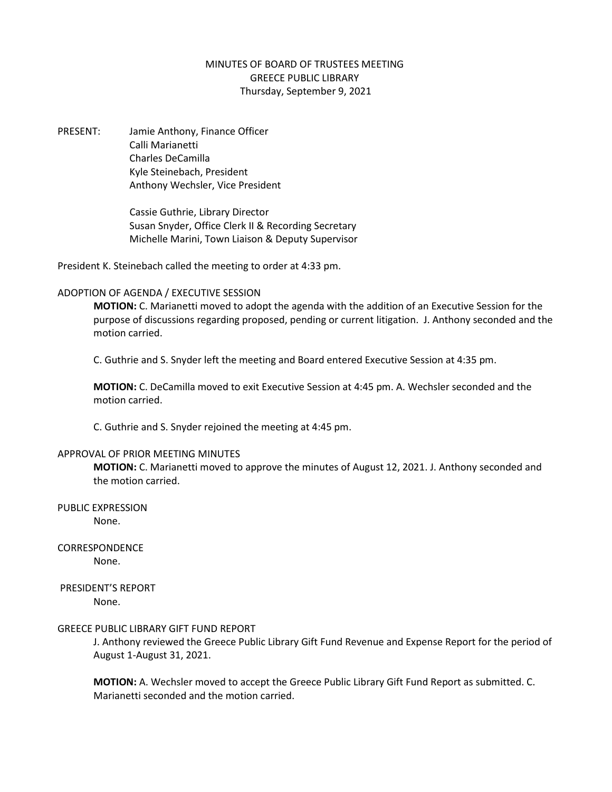## MINUTES OF BOARD OF TRUSTEES MEETING GREECE PUBLIC LIBRARY Thursday, September 9, 2021

PRESENT: Jamie Anthony, Finance Officer Calli Marianetti Charles DeCamilla Kyle Steinebach, President Anthony Wechsler, Vice President

> Cassie Guthrie, Library Director Susan Snyder, Office Clerk II & Recording Secretary Michelle Marini, Town Liaison & Deputy Supervisor

President K. Steinebach called the meeting to order at 4:33 pm.

## ADOPTION OF AGENDA / EXECUTIVE SESSION

**MOTION:** C. Marianetti moved to adopt the agenda with the addition of an Executive Session for the purpose of discussions regarding proposed, pending or current litigation. J. Anthony seconded and the motion carried.

C. Guthrie and S. Snyder left the meeting and Board entered Executive Session at 4:35 pm.

**MOTION:** C. DeCamilla moved to exit Executive Session at 4:45 pm. A. Wechsler seconded and the motion carried.

C. Guthrie and S. Snyder rejoined the meeting at 4:45 pm.

## APPROVAL OF PRIOR MEETING MINUTES

**MOTION:** C. Marianetti moved to approve the minutes of August 12, 2021. J. Anthony seconded and the motion carried.

PUBLIC EXPRESSION None.

CORRESPONDENCE

None.

# PRESIDENT'S REPORT

None.

## GREECE PUBLIC LIBRARY GIFT FUND REPORT

J. Anthony reviewed the Greece Public Library Gift Fund Revenue and Expense Report for the period of August 1-August 31, 2021.

**MOTION:** A. Wechsler moved to accept the Greece Public Library Gift Fund Report as submitted. C. Marianetti seconded and the motion carried.